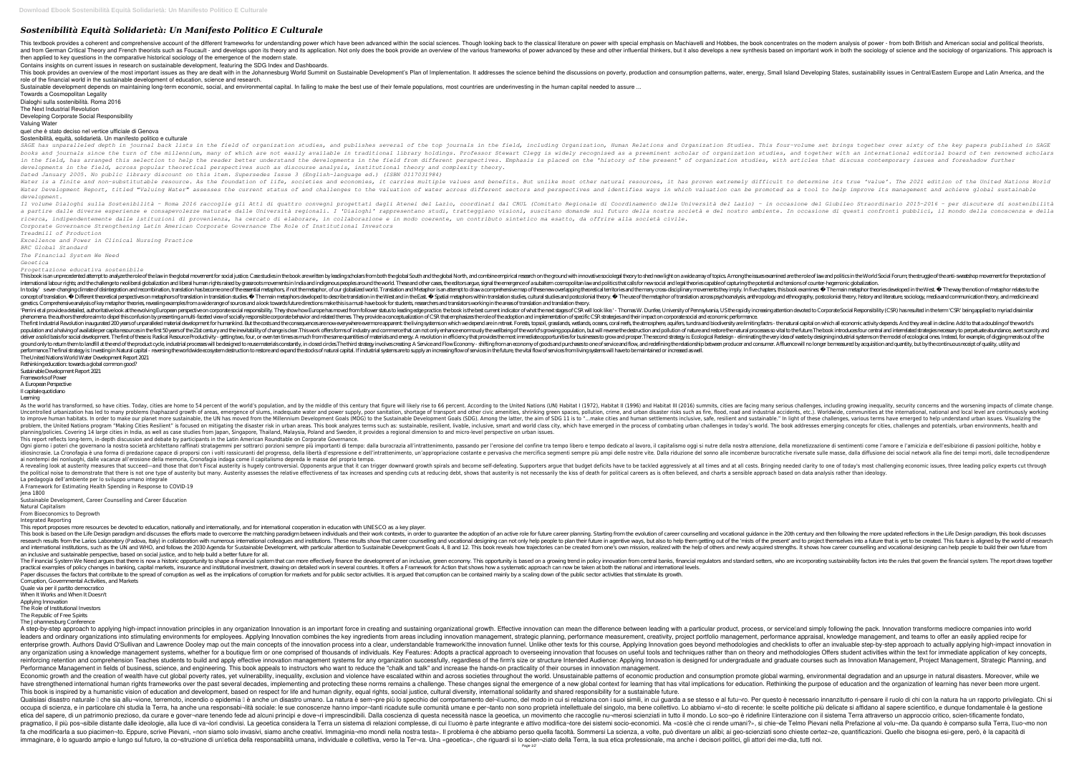## *Sostenibilità Equità Solidarietà: Un Manifesto Politico E Culturale*

This textbook provides a coherent and comprehensive account of the different frameworks for understanding power which have been advanced within the social sciences. Though looking back to the classical literature on power and from German Critical Theory and French theorists such as Foucault - and develops upon its theory and its application. Not only does the book provide an overview of the various frameworks of power advanced by these and then applied to key questions in the comparative historical sociology of the emergence of the modern state.

This book provides an overview of the most important issues as they are dealt with in the Johannesburg World Summit on Sustainable Development's Plan of Implementation. It addresses the science behind the discussions on po role of the financial world in the sustainable development of education, science and research.

Sustainable development depends on maintaining long-term economic, social, and environmental capital. In failing to make the best use of their female populations, most countries are underinvesting in the human capital need Towards a Cosmopolitan Legality

Contains insights on current issues in research on sustainable development, featuring the SDG Index and Dashboards.

Dialoghi sulla sostenibilità. Roma 2016

SAGE has unparalleled depth in journal back lists in the field of organization studies, and publishes several of the top journals in the field, including Organization, Human Relations and Organization Studies. This four-vo books and journals since the turn of the millennium, many of which are not easily available in traditional library holdings. Professor Stewart Clegg is widely recognised as a preeminent scholar of organization studies, and in the field, has arranged this selection to help the reader better understand the developments in the field from different perspectives. Emphasis is placed on the 'history of the present' of organization studies, with art *developments in the field, across popular theoretical perspectives such as discourse analysis, institutional theory and complexity theory. Dated January 2005. No public library discount on this item. Supersedes Issue 3 (English-language ed.) (ISBN 0117031984)* Water is a finite and non-substitutable resource. As the foundation of life, societies and economies, it carries multiple values and benefits. But unlike most other natural resources, it has proven extremely difficult to d Water Development Report, titled "Valuing Water" assesses the current status of and challenges to the valuation of water across different sectors and perspectives and identifies ways in which valuation can be promoted as a *development.*

The Next Industrial Revolution

Developing Corporate Social Responsibility

Valuing Water

quel che è stato deciso nel vertice ufficiale di Genova

Sostenibilità, equità, solidarietà. Un manifesto politico e culturale

Il volume Dialoghi sulla Sostenibilità - Roma 2016 raccoglie gli Atti di quattro convegni progettati dagli Atenei del Lazio, coordinati dal CRUL (Comitato Regionale di Coordinamento delle Università del Lazio, coordinati d a partire dalle diverse esperienze e consapevolezze maturate dalle Università regionali. I 'Dialoghi' rappresentano studi, tratteggiano visioni, suscitano domande sul futuro della nostra società e del nostro ambiente. In o *ricerca, indipendentemente dalle istituzioni di provenienza, ha cercato di elaborare, in collaborazione e in modo coerente, un contributo sintetico ma esatto, da offrire alla società civile. Corporate Governance Strengthening Latin American Corporate Governance The Role of Institutional Investors*

*Treadmill of Production*

*Excellence and Power in Clinical Nursing Practice BRC Global Standard*

*The Financial System We Need*

*Geoetica*

*Progettazione educativa sostenibile*

This book is an unprecedented attempt to analyze the role of the law in the global movement for social justice. Case studies in the book are written by leading scholars from both the global North, and combine empirical res international labour rights, and the challenge to neoliberal globalization and liberal human rights raised by grassroots movements in India and indigenous peoples around the world. These and other cases, the editors argue, In today' sever-changing climate of disintegration and recombination, translation has become one of the essential metaphors, if not the metaphor, of our globalized world. Translation and Metaphor is an attempt to draw a co concept of translation. Different theoretical perspectives on metaphors of translation in translation in translation sudies. The main metaphors developed to describe translation in the West and in the East. Spatial metapho genetics. Comprehensive analysis of key metaphor theories, revealing examples from a wide range of sources and a look towards future directions make this is a must-have book for students, researchers and translators workin Perrini et al provide a detailed, authoritative look at the evolving European perspective on corporate social responsibility. They show how Europe has moved from follower status to leading edge practice. the book is the be phenomena, the authors therefore aim to dispel this confusion by presenting a multi-faceted view of socially responsible corporate behavior and related themes. They provide a conceptualization of CSR that emphasizes the ro The first Industrial Revolution inaugurated 200 years of unparalleled material development for humankind. But the costs and the consequences are now everywhere evernore apparent: the living systems on which we depend are i population and a halving of available per capita resources in the first 50 years of the 21st century and the inevitability of change is clear. This work offers forms of industry and commerce that can not only enhance enorm deliver a solid basis for social development. The first of these is: Radical Resource Productivity - getting two, four, or even ten times as much from the same quantities of materials and energy. A revolution in efficiency ground only to return them to landfill at the end of the product cycle, industrial processes will be designed to reuse materials constantly, in closed circles. The third strategy involves creating. A Service and Flow Econo performance. The final strategy is Investing in Natural capital - reversing the worldwide ecosystem destruction to restore and expand the stocks of natural capital. If industrial systems are to supply an increasing flow of The United Nations World Water Development Report 2021

As the world has transformed, so have cities. Today, cities are home to 54 percent of the world's population, and by the middle of this century that figure will likely rise to 66 percent. According to the United Nations (U onergence of slums, inadequate water and power supply, poor sanitation, shortage of transport and other civic amenities, shrinking green spaces, pollution, crime, and urban disaster risks such as fire, flood, road and indu to improve human habitats. In order to make our planet more sustainable, the UN has moved from the Millennium Development Goals (MDG) to the Sustainable." In light of these challenges, various terms have emerged to help un roblem, the United Nations program "Making Cities Resilient" is focused on mitigating the disaster risk in urban areas. This book analyzes terms such as: sustainable, resilient, livable, inclusive, smart and world. The boo planning/policies. Covering 14 large cities in India, as well as case studies from Japan, Singapore, Thailand, Malaysia, Poland and Sweden, it provides a regional dimension to and micro-level perspective on urban issues. This report reflects long-term, in-depth discussion and debate by participants in the Latin American Roundtable on Corporate Governance.

Oqni giorno i poteri che governano la nostra società architettano raffinati stratagemmi per sottrarci porzioni sempre più importanti di tempo: dalla burocrazia all'intrattenimento, passando per l'erosione, della monetizzaz idiosincrasie. La Cronofagia è una forma di predazione capace di proporsi con i volti rassicuranti del progresso, della libertà d'espressione e dell'intrattenimento, un'appropriazione del sonno alle incombenze burocratiche ai nontempi dei nonluoghi, dalle vacanze all'erosione della memoria, Cronofagia indaga come il capitalismo depreda le masse del proprio tempo.

A revealing look at austerity measures that succeed—and those that don't Fiscal austerity is hugely controversial. Opponents argue that it can trigger downward growth spirals and become self-defeating. Supporters argue tha the political noise to demonstrate that there is not one type of austerity but many. Austerity assesses the relative effectiveness of tax increases and spending cuts at reducing debt, shows that austerity is not necessaril La pedagogia dell'ambiente per lo sviluppo umano integrale

The Financial System We Need argues that there is now a historic opportunity to shape a financial system that can more effectively financial regulators and standard setters, who are incorporating sustainability factors in practical examples of policy changes in banking, capital markets, insurance and institutional investment, drawing on detailed work in several countries. It offers a Framework for Action that shows how a systematic approach Paper discusses the factors that contribute to the spread of corruption as well as the implications of corruption for markets and for public sector activities. It is argued that corruption can be contained mainly by a scal Corruption, Governmental Activities, and Markets

Quale via per il partito democratico

Rethinking education: towards a global common good?

Sustainable Development Report 2021

Frameworks of Power

A European Perspective

Il capitale quotidiano Learning

A step-by-step approach to applying high-impact innovation principles in any organization Innovation is an important force in creating and sustaining organizational growth. Effective innovation can mean the difference betw leaders and ordinary organizations into stimulating environments for employees. Applying Innovation combines the key ingredients from areas including innovation management, performance appraisal, knowledge management, and enterprise growth. Authors David O'Sullivan and Lawrence Dooley map out the main concepts of the innovation process into a clear, understandable frameworklithe innovation goes beyond methodologies and checklists to offer a any organization using a knowledge management systems, whether for a boutique firm or one comprised of thousands of individuals. Key Features: Adopts a practical approach to overseeing innovation that focuses on useful too reinforcing retention and comprehension Teaches students to build and apply effective innovation management systems for any organization successfully, regardless of the firm's size or structure Intended Audience: Applying Performance Management in fields of business, science, and engineering. This book appeals to instructors who want to reduce the "chalk and talk" and increase the hands-on practicality of their courses in innovation managem Economic growth and the creation of wealth have cut global poverty rates, yet vulnerability, inequality, exclusion and violence have escalated within and across societies throughout the world. Unsustainable patterns of eco have strengthened international human rights frameworks over the past several decades, implementing and protecting these norms remains a challenge. These changes signal the emergence of a new global context for learning th This book is inspired by a humanistic vision of education and development, based on respect for life and human dignity, equal rights, social justice, cultural diversity, international solidarity and shared responsibility f Qualsiasi disastro naturale I che sia allu¬vione, terremoto, incendio o epidemia I è anche un disastro umano. La natura è sem¬pre più lo specchio del modo in cui si relaziona con i suoi simili, in cui guarda a se stesso e occupa di scienza, e in particolare chi studia la Terra, ha anche una responsabi¬lità sociale: le sue conoscenze hanno impor¬tanti ricadute sulle comunità umane e per¬tanto non sono proprietà intellettuale del singolo, ma etica del sapere, di un patrimonio prezioso, da curare e gover¬nare tenendo fede ad alcuni principi e dove¬ri imprescindibili. Dalla coscienza di questa necessità nasce la geoetica, un movimento che raccoglie nu¬merosi sci ragmatico, il più pos¬sibile distante dalle ideologie, alla luce di va¬lori condivisi. La geoetica considera la Terra un sistema di relazioni complesse, di cui lluomo è parte integrante e attivo modifica¬tore dei sistemi fa che modificarla a suo piacimen¬to. Eppure, scrive Pievani, «non siamo solo invasivi, siamo anche creativi. Immaginia¬mo mondi nella nostra testa». Il problema è che abbiamo perso quella facoltà. Sommersi La scienza, a immaginare, è lo sguardo ampio e lungo sul futuro, la co¬struzione di un∏etica della responsabilità umana, individuale e collettiva, verso la Ter¬ra. Una «geoetica», che riguardi sì lo scien¬ziato della Terra, la sua etic Page 1/2

A Framework for Estimating Health Spending in Response to COVID-19

Jena 1800

Sustainable Development, Career Counselling and Career Education Natural Capitalism

From Bioeconomics to Degrowth

## Integrated Reporting

This report proposes more resources be devoted to education, nationally and internationally, and for international cooperation in education with UNESCO as a key player. This book is based on the Life Design paradigm and discusses the efforts made to overcome the matching paradigm between individuals and their work contexts, in order to quarantee the adoption of career counselling and voca research results from the Larios Laboratory (Padova, Italy) in collaboration with numerous international colleagues and institutions. These results show that career counselling and vocational designing can not only help pe and institutions, such as the UN and WHO, and follows the 2030 Agenda for Sustainable Development, with particular attention to Sustainable Development Goals 4, 8 and 12. This book reveals how trajectories can be created f an inclusive and sustainable perspective, based on social justice, and to help build a better future for all.

When It Works and When It Doesn't Applying Innovation

The Role of Institutional Investors

The Republic of Free Spirits

The Johannesburg Conference